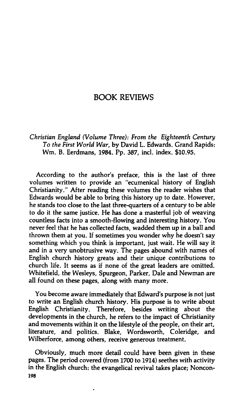## **BOOK REVIEWS**

*Christian England (Volume Three): From the Eighteenth Century To the First World War,* **by David L. Edwards. Grand Rapids: Wm. B. Eerdmans, 1984. Pp. 387, incl. index. \$10.95.** 

**According to the author's preface, this is the last of three volumes written to provide an "ecumenical history of English Christianity." After reading these volumes the reader wishes that Edwards would be able to bring this history up to date. However, he stands too close to the last three-quarters of a century to be able to do it the same justice. He has done a masterful job of weaving countless facts into a smooth-flowing and interesting history. You never feel that he has collected facts, wadded them up in a ball and thrown them at you. If sometimes you wonder why he doesn't say something which you think is important, just wait. He will say it and in a very unobtrusive way. The pages abound with names of English church history greats and their unique contributions to church life. It seems as if none of the great leaders are omitted. Whitefield, the Wesleys, Spurgeon, Parker, Dale and Newman are all found on these pages, along with many more.** 

**You become aware immediately that Edward's purpose is not just to write an English church history. His purpose is to write about English Christianity. Therefore, besides writing about the developments in the church, he refers to the impact of Christianity and movements within it on the lifestyle of the people, on their art, literature, and politics. Blake, Wordsworth, Coleridge, and Wilberforce, among others, receive generous treatment.** 

**Obviously, much more detail could have been given in these pages. The period covered (from 1700 to 1914) seethes with activity in the English church: the evangelical revival takes place; Noncon-198**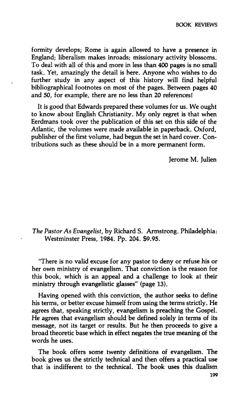**formity develops; Rome is again allowed to have a presence in England; liberalism makes inroads; missionary activity blossoms. To deal with all of this and more in less than 400 pages is no small task. Yet, amazingly the detail is here. Anyone who wishes to do further study in any aspect of this history will find helpful bibliographical footnotes on most of the pages. Between pages 40 and 50, for example, there are no less than 20 references!** 

**It is good that Edwards prepared these volumes for us. We ought to know about English Christianity. My only regret is that when Eerdmans took over the publication of this set on this side of the Atlantic, the volumes were made available in paperback. Oxford, publisher of the first volume, had begun the set in hard cover. Contributions such as these should be in a more permanent form.** 

**Jerome M. Julien** 

*The Pastor As Evangelist,* **by Richard S. Armstrong. Philadelphia: Westminster Press, 1984. Pp. 204. \$9.95.** 

**'There is no valid excuse for any pastor to deny or refuse his or her own ministry of evangelism. That conviction is the reason for this book, which is an appeal and a challenge to look at their ministry through evangelistic glasses" (page 13).** 

**Having opened with this conviction, the author seeks to define his terms, or better excuse himself from using the terms strictly. He agrees that, speaking strictly, evangelism is preaching the Gospel. He agrees that evangelism should be defined solely in terms of its message, not its target or results. But he then proceeds to give a broad theoretic base which in effect negates the true meaning of the words he uses.** 

**The book offers some twenty definitions of evangelism. The book gives us the strictly technical and then offers a practical use that is indifferent to the technical. The book uses this dualism**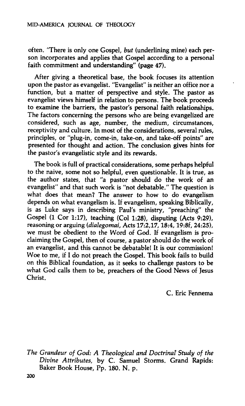## **MID-AMERICA JOURNAL OF THEOLOGY**

**often. 'There is only one Gospel,** *but* **(underlining mine) each person incorporates and applies that Gospel according to a personal faith commitment and understanding" (page 47).** 

**After giving a theoretical base, the book focuses its attention upon the pastor as evangelist. "Evangelist" is neither an office nor a function, but a matter of perspective and style. The pastor as evangelist views himself in relation to persons. The book proceeds to examine the barriers, the pastor's personal faith relationships. The factors concerning the persons who are being evangelized are considered, such as age, number, the medium, circumstances, receptivity and culture. In most of the considerations, several rules, principles, or "plug-in, come-in, take-on, and take-off points" are presented for thought and action. The conclusion gives hints for the pastor's evangelistic style and its rewards.** 

**The book is full of practical considerations, some perhaps helpful to the naive, some not so helpful, even questionable. It is true, as the author states, that "a pastor should do the work of an evangelist" and that such work is "not debatable." The question is what does that mean? The answer to how to do evangelism depends on what evangelism is. If evangelism, speaking Biblically, is as Luke says in describing Paul's ministry, "preaching" the Gospel (1 Cor 1:17), teaching (Col 1:28), disputing (Acts 9:29), reasoning or arguing** *(dialegomai,* **Acts 17:2,17,18:4,19:8f, 24:25), we must be obedient to the Word of God. If evangelism is proclaiming the Gospel, then of course, a pastor should do the work of an evangelist, and this cannot be debatable! It is our commission! Woe to me, if I do not preach the Gospel. This book fails to build on this Biblical foundation, as it seeks to challenge pastors to be what God calls them to be, preachers of the Good News of Jesus Christ.** 

**C. Eric Fennema** 

*The Grandeur of God: A Theological and Doctrinal Study of the Divine Attributes,* **by C. Samuel Storms. Grand Rapids: Baker Book House, Pp. 180. N. p.**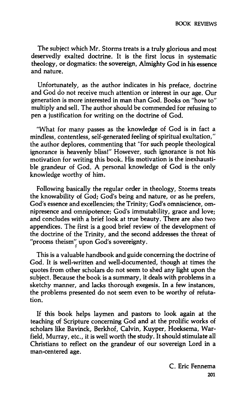**The subject which Mr. Storms treats is a truly glorious and most deservedly exalted doctrine. It is the first locus in systematic theology, or dogmatics: the sovereign. Almighty God in his essence and nature.** 

**Unfortunately, as the author indicates in his preface, doctrine and God do not receive much attention or interest in our age. Our generation is more interested in man than God. Books on "how to" multiply and sell. The author should be commended for refusing to pen a justification for writing on the doctrine of God.** 

**"What for many passes as the knowledge of God is in fact a mindless, contentless, self-generated feeling of spiritual exultation," the author deplores, commenting that "for such people theological ignorance is heavenly bliss!" However, such ignorance is not his motivation for writing this book. His motivation is the inexhaustible grandeur of God. A personal knowledge of God is the only knowledge worthy of him.** 

**Following basically the regular order in theology. Storms treats the knowability of God; God's being and nature, or as he prefers, God's essence and excellencies; the Trinity; God's omniscience, omnipresence and omnipotence; God's immutability, grace and love; and concludes with a brief look at true beauty. There are also two appendices. The first is a good brief review of the development of the doctrine of the Trinity, and the second addresses the threat of**  "process theism" upon God's sovereignty.

**This is a valuable handbook and guide concerning the doctrine of God. It is well-written and well-documented, though at times the quotes from other scholars do not seem to shed any light upon the subject. Because the book is a summary, it deals with problems in a sketchy manner, and lacks thorough exegesis. In a few instances, the problems presented do not seem even to be worthy of refutation.** 

**If this book helps laymen and pastors to look again at the teaching of Scripture concerning God and at the prolific works of scholars like Bavinck, Berkhof, Calvin, Kuyper, Hoeksema, Warfield, Murray, etc., it is well worth the study. It should stimulate all Christians to reflect on the grandeur of our sovereign Lord in a man-centered age.**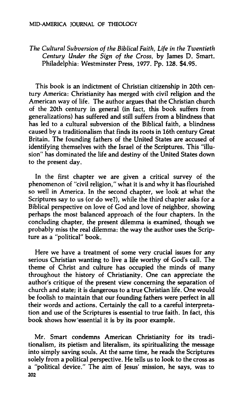*The Cultural Subversion of the Biblical Faith, Life in the Twentieth Century Under the Sign of the Cross,* **by James D. Smart. Philadelphia: Westminster Press, 1977. Pp. 128. \$4.95.** 

**This book is an indictment of Christian citizenship in 20th century America: Christianity has merged with civil religion and the American way of life. The author argues that the Christian church of the 20th century in general (in fact, this book suffers from generalizations) has suffered and still suffers from a blindness that has led to a cultural subversion of the Biblical faith, a blindness caused by a traditionalism that finds its roots in 16th century Great Britain. The founding fathers of the United States are accused of identifying themselves with the Israel of the Scriptures. This "illusion" has dominated the life and destiny of the United States down to the present day.** 

**In the first chapter we are given a critical survey of the phenomenon of "civil religion," what it is and why it has flourished so well in America. In the second chapter, we look at what the Scriptures say to us (or do we?), while the third chapter asks for a Biblical perspective on love of God and love of neighbor, showing perhaps the most balanced approach of the four chapters. In the concluding chapter, the present dilemma is examined, though we probably miss the real dilemma: the way the author uses the Scripture as a "political" book.** 

**Here we have a treatment of some very crucial issues for any serious Christian wanting to live a life worthy of God's call. The theme of Christ and culture has occupied the minds of many throughout the history of Christianity. One can appreciate the author's critique of the present view concerning the separation of church and state; it is dangerous to a true Christian life. One would be foolish to maintain that our founding fathers were perfect in all their words and actions. Certainly the call to a careful interpretation and use of the Scriptures is essential to true faith. In fact, this book shows how'essential it is by its poor example.** 

**Mr. Smart condemns American Christianity for its traditionalism, its pietism and literalism, its spiritualizing the message into simply saving souls. At the same time, he reads the Scriptures solely from a political perspective. He tells us to look to the cross as a "political device." The aim of Jesus' mission, he says, was to 202**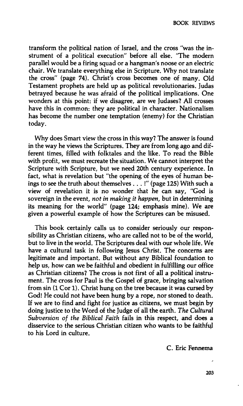**transform the political nation of Israel, and the cross "was the instrument of a political execution" before all else. "The modern parallel would be a firing squad or a hangman's noose or an electric chair. We translate everything else in Scripture. Why not translate the cross" (page 74). Christ's cross becomes one of many. Old Testament prophets are held up as political revolutionaries. Judas betrayed because he was afraid of the political implications. One wonders at this point: if we disagree, are we Judases? All crosses have this in common: they are political in character. Nationalism has become the number one temptation (enemy) for the Christian today.** 

**Why does Smart view the cross in this way? The answer is found in the way he views the Scriptures. They are from long ago and different times, filled with folktales and the like. To read the Bible with profit, we must recreate the situation. We cannot interpret the Scripture with Scripture, but we need 20th century experience. In fact, what is revelation but "the opening of the eyes of human beings to see the truth about themselves .. . !" (page 125) With such a view of revelation it is no wonder that he can say, "God is sovereign in the event,** *not in making it happen,* **but in determining its meaning for the world" (page 124; emphasis mine). We are given a powerful example of how the Scriptures can be misused.** 

**This book certainly calls us to consider seriously our responsibility as Christian citizens, who are called not to be of the world, but to live in the world. The Scriptures deal with our whole life. We have a cultural task in following Jesus Christ. The concerns are legitimate and important. But without any Biblical foundation to help us, how can we be faithful and obedient in fulfilling our office as Christian citizens? The cross is not first of all a political instrument. The cross for Paul is the Gospel of grace, bringing salvation from sin (1 Cor 1). Christ hung on the tree because it was cursed by God! He could not have been hung by a rope, nor stoned to death. If we are to find and fight for justice as citizens, we must begin by doing justice to the Word of the Judge of all the earth.** *The Cultural Subversion of the Biblical Faith* **fails in this respect, and does a disservice to the serious Christian citizen who wants to be faithfuji to his Lord in culture.** 

**C. Eric Fennema**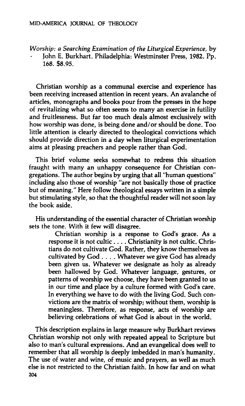*Worship: a Searching Examination of the Liturgical Experience,* **by** 

**John E. Burkhart. Philadelphia: Westminster Press, 1982. Pp. 168. \$8.95.** 

**Christian worship as a communal exercise and experience has been receiving increased attention in recent years. An avalanche of articles, monographs and books pour from the presses in the hope of revitalizing what so often seems to many an exercise in futility and fruitlessness. But far too much deals almost exclusively with how worship was done, is being done and/or should be done. Too little attention is clearly directed to theological convictions which should provide direction in a day when liturgical experimentation aims at pleasing preachers and people rather than God.** 

**This brief volume seeks somewhat to redress this situation fraught with many an unhappy consequence for Christian congregations. The author begins by urging that all "human questions" including also those of worship "are not basically those of practice but of meaning." Here follow theological essays written in a simple but stimulating style, so that the thoughtful reader will not soon lay the book aside.** 

**His understanding of the essential character of Christian worship sets the tone. With it few will disagree.** 

**Christian worship is a response to God's grace. As a response it is not cultic ... . Christianity is not cultic. Christians do not cultivate God. Rather, they know themselves as cultivated by God ... . Whatever we give God has already been given us. Whatever we designate as holy as already been hallowed by God. Whatever language, gestures, or patterns of worship we choose, they have been granted to us in our time and place by a culture formed with God's care. In everything we have to do with the living God. Such convictions are the matrix of worship; without them, worship is meaningless. Therefore, as response, acts of worship are believing celebrations of what God is about in the world.** 

**This description explains in large measure why Burkhart reviews Christian worship not only with repeated appeal to Scripture but also to man's cultural expressions. And an evangelical does well to remember that all worship is deeply imbedded in man's humanity. The use of water and wine, of music and prayers, as well as much else is not restricted to the Christian faith. In how far and on what 204**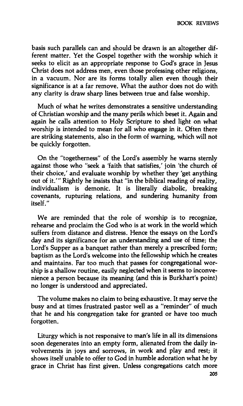**basis such parallels can and should be drawn is an altogether different matter. Yet the Gospel together with the worship which it seeks to elicit as an appropriate response to God's grace in Jesus Christ does not address men, even those professing other religions, in a vacuum. Nor are its forms totally alien even though their significance is at a far remove. What the author does not do with any clarity is draw sharp lines between true and false worship.** 

**Much of what he writes demonstrates a sensitive understanding of Christian worship and the many perils which beset it. Again and again he calls attention to Holy Scripture to shed light on what worship is intended to mean for all who engage in it. Often there are striking statements, also in the form of warning, which will not be quickly forgotten.** 

**On the "togetherness" of the Lord's assembly he warns sternly against those who "seek a 'faith that satisfies,' join 'the church of their choice,' and evaluate worship by whether they 'get anything out of it.'" Rightly he insists that "in the biblical reading of reality, individualism is demonic. It is literally diabolic, breaking covenants, rupturing relations, and sundering humanity from itself."** 

**We are reminded that the role of worship is to recognize, rehearse and proclaim the God who is at work in the world which suffers from distance and distress. Hence the essays on the Lord's day and its significance for an understanding and use of time; the Lord's Supper as a banquet rather than merely a prescribed form; baptism as the Lord's welcome into the fellowship which he creates and maintains. Far too much that passes for congregational worship is a shallow routine, easily neglected when it seems to inconvenience a person because its meaning (and this is Burkhart's point) no longer is understood and appreciated.** 

**The volume makes no claim to being exhaustive. It may serve the busy and at times frustrated pastor well as a "reminder" of much that he and his congregation take for granted or have too much forgotten.** 

**Liturgy which is not responsive to man's life in all its dimensions soon degenerates into an empty form, alienated from the daily involvements in joys and sorrows, in work and play and rest; it shows itself unable to offer to God in humble adoration what he by grace in Christ has first given. Unless congregations catch more**